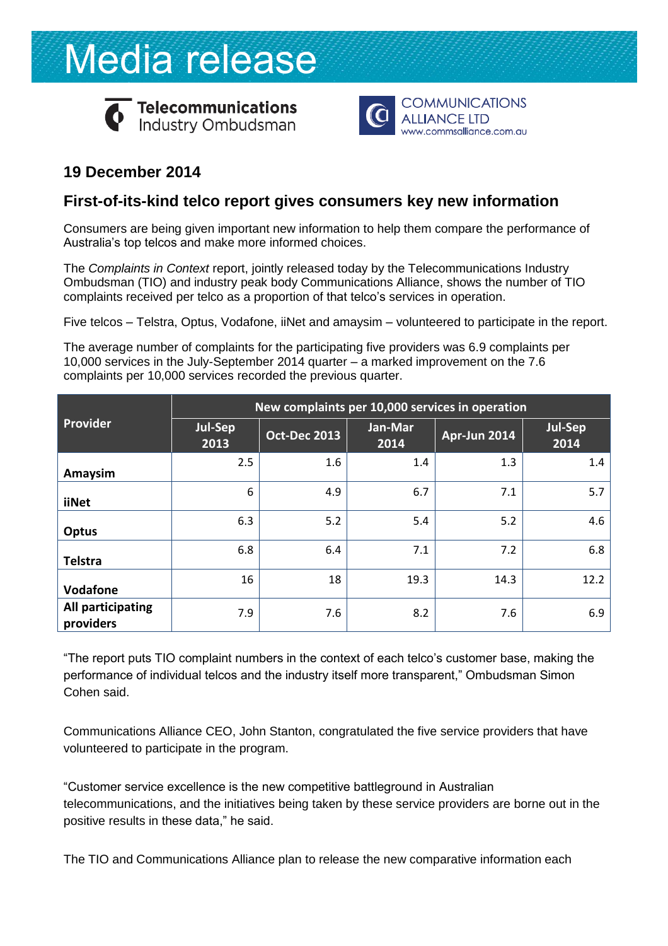# Media release



Telecommunications<br>Industry Ombudsman



## **19 December 2014**

### **First-of-its-kind telco report gives consumers key new information**

Consumers are being given important new information to help them compare the performance of Australia's top telcos and make more informed choices.

The *Complaints in Context* report, jointly released today by the Telecommunications Industry Ombudsman (TIO) and industry peak body Communications Alliance, shows the number of TIO complaints received per telco as a proportion of that telco's services in operation.

Five telcos – Telstra, Optus, Vodafone, iiNet and amaysim – volunteered to participate in the report.

The average number of complaints for the participating five providers was 6.9 complaints per 10,000 services in the July-September 2014 quarter – a marked improvement on the 7.6 complaints per 10,000 services recorded the previous quarter.

|                                | New complaints per 10,000 services in operation |                     |                 |              |                 |
|--------------------------------|-------------------------------------------------|---------------------|-----------------|--------------|-----------------|
| <b>Provider</b>                | Jul-Sep<br>2013                                 | <b>Oct-Dec 2013</b> | Jan-Mar<br>2014 | Apr-Jun 2014 | Jul-Sep<br>2014 |
| Amaysim                        | 2.5                                             | 1.6                 | 1.4             | 1.3          | 1.4             |
| <b>iiNet</b>                   | 6                                               | 4.9                 | 6.7             | 7.1          | 5.7             |
| <b>Optus</b>                   | 6.3                                             | 5.2                 | 5.4             | 5.2          | 4.6             |
| <b>Telstra</b>                 | 6.8                                             | 6.4                 | 7.1             | 7.2          | 6.8             |
| Vodafone                       | 16                                              | 18                  | 19.3            | 14.3         | 12.2            |
| All participating<br>providers | 7.9                                             | 7.6                 | 8.2             | 7.6          | 6.9             |

"The report puts TIO complaint numbers in the context of each telco's customer base, making the performance of individual telcos and the industry itself more transparent," Ombudsman Simon Cohen said.

Communications Alliance CEO, John Stanton, congratulated the five service providers that have volunteered to participate in the program.

"Customer service excellence is the new competitive battleground in Australian telecommunications, and the initiatives being taken by these service providers are borne out in the positive results in these data," he said.

The TIO and Communications Alliance plan to release the new comparative information each